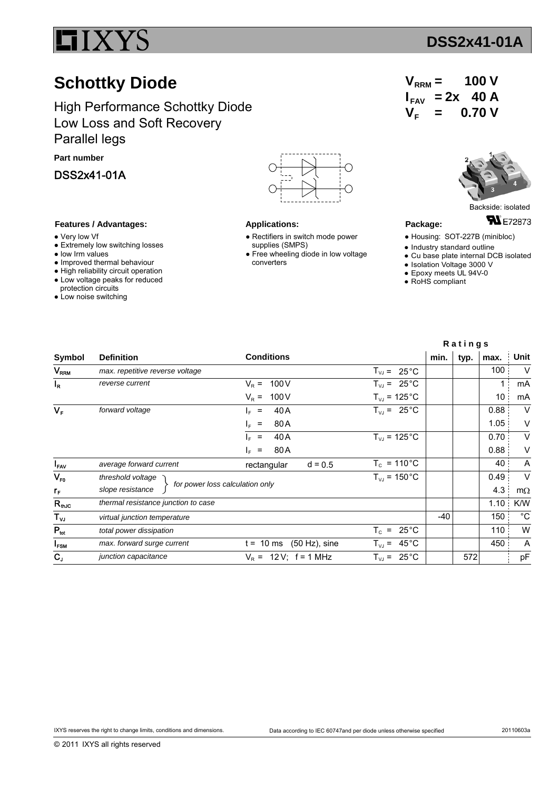

## **Schottky Diode**

High Performance Schottky Diode Low Loss and Soft Recovery Parallel legs

**Part number**

DSS2x41-01A

## **Features / Advantages:**

- Very low Vf
- Extremely low switching losses
- low Irm values
- Improved thermal behaviour
- High reliability circuit operation ● Low voltage peaks for reduced
- protection circuits
- Low noise switching



## **Applications:**

- Rectifiers in switch mode power supplies (SMPS)
- Free wheeling diode in low voltage converters

| $V_{RRM}$ =                    |         | 100V  |  |
|--------------------------------|---------|-------|--|
| $I_{FAV}$ = 2x 40 A            |         |       |  |
| $\bm{\mathsf{V}}_{\mathsf{F}}$ | $=$ $-$ | 0.70V |  |



Backside: isolated

**FN** E72873

- **Package:**
- Housing: SOT-227B (minibloc)
- Industry standard outline
- Cu base plate internal DCB isolated
- Isolation Voltage 3000 V
- Epoxy meets UL 94V-0 • RoHS compliant
- 

|                        |                                     |                                 | Ratings                      |       |      |      |             |
|------------------------|-------------------------------------|---------------------------------|------------------------------|-------|------|------|-------------|
| Symbol                 | <b>Definition</b>                   | <b>Conditions</b>               |                              | min.  | typ. | max. | Unit        |
| <b>V<sub>RRM</sub></b> | max. repetitive reverse voltage     |                                 | $T_{VJ} = 25^{\circ}C$       |       |      | 100  | V           |
| <sup>I</sup> R         | reverse current                     | 100 V<br>$V_{\rm P}$ =          | $T_{VJ}$ = 25 °C             |       |      | 1    | mA          |
|                        |                                     | 100V<br>$V_R =$                 | $T_{VJ}$ = 125 °C            |       |      | 10   | mA          |
| $V_F$                  | forward voltage                     | 40 A<br>$=$<br>le.              | $T_{VJ}$ = 25 °C             |       |      | 0.88 | $\vee$      |
|                        |                                     | 80A<br>$\equiv$<br>le.          |                              |       |      | 1.05 | V           |
|                        |                                     | 40 A<br>$\equiv$<br>l⊧.         | $T_{VJ}$ = 125 °C            |       |      | 0.70 | V           |
|                        |                                     | 80A<br>le.<br>$=$               |                              |       |      | 0.88 | V           |
| $I_{FAV}$              | average forward current             | $d = 0.5$<br>rectangular        | $T_c = 110^{\circ}C$         |       |      | 40   | A           |
| $V_{F0}$               | threshold voltage                   |                                 | $T_{VJ}$ = 150 °C            |       |      | 0.49 | $\vee$      |
| $r_{\rm F}$            | slope resistance                    | for power loss calculation only |                              |       |      | 4.3  | $m\Omega$   |
| $R_{th,IC}$            | thermal resistance junction to case |                                 |                              |       |      | 1.10 | K/W         |
| $T_{\mathsf{vJ}}$      | virtual junction temperature        |                                 |                              | $-40$ |      | 150  | $^{\circ}C$ |
| $P_{\text{tot}}$       | total power dissipation             |                                 | $T_c = 25^{\circ}C$          |       |      | 110  | W           |
| <b>I<sub>FSM</sub></b> | max. forward surge current          | $(50 Hz)$ , sine<br>$t = 10$ ms | $45^{\circ}$ C<br>$T_{VJ}$ = |       |      | 450  | A           |
| $C_{J}$                | junction capacitance                | $V_R = 12 V$ ; f = 1 MHz        | $25^{\circ}$ C<br>$T_{VJ}$ = |       | 572  |      | pF          |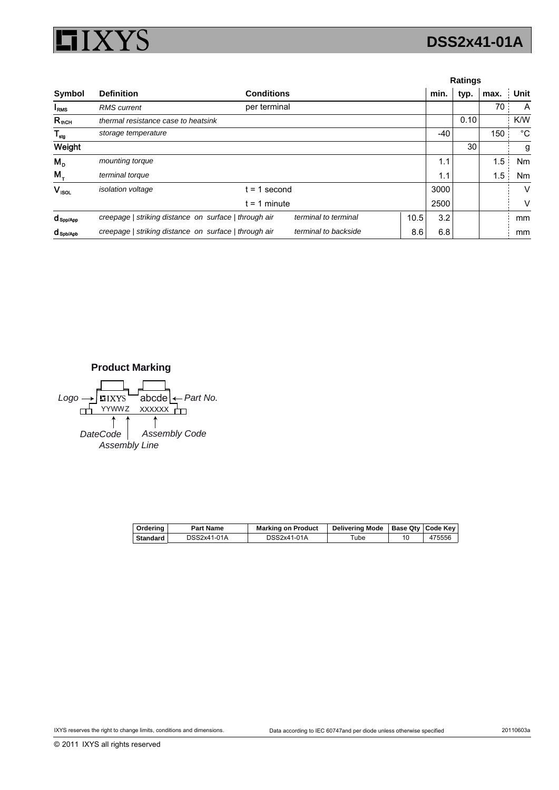

|                         |                                                       |                   |                      |      |      |      | Ratings |             |  |  |  |
|-------------------------|-------------------------------------------------------|-------------------|----------------------|------|------|------|---------|-------------|--|--|--|
| Symbol                  | <b>Definition</b>                                     | <b>Conditions</b> |                      |      | min. | typ. | max.    | Unit        |  |  |  |
| I <sub>RMS</sub>        | <b>RMS</b> current                                    | per terminal      |                      |      |      |      | 70      | A           |  |  |  |
| $R_{\text{fhCH}}$       | thermal resistance case to heatsink                   |                   |                      |      |      | 0.10 |         | K/W         |  |  |  |
| $\mathsf{T}_{\sf{stg}}$ | storage temperature                                   |                   |                      |      | -40  |      | 150     | $^{\circ}C$ |  |  |  |
| Weight                  |                                                       |                   |                      |      |      | 30   |         | g           |  |  |  |
| $M_{\rm p}$             | mounting torque                                       |                   |                      |      | 1.1  |      | 1.5     | Nm          |  |  |  |
| $M_{+}$                 | terminal torque                                       |                   |                      |      | 1.1  |      | 1.5     | Nm          |  |  |  |
| $V_{ISOL}$              | isolation voltage                                     | $= 1$ second      |                      |      | 3000 |      |         | V           |  |  |  |
|                         |                                                       | $t = 1$ minute    |                      |      | 2500 |      |         | v           |  |  |  |
| $d_{\text{Spp/App}}$    | creepage   striking distance on surface   through air |                   | terminal to terminal | 10.5 | 3.2  |      |         | mm          |  |  |  |
| <b>C</b> Spb/Apb        | creepage   striking distance on surface   through air |                   | terminal to backside | 8.6  | 6.8  |      |         | mm          |  |  |  |

**Product Marking**  $Logo \rightarrow \blacksquare$ IXYS abcde  $\leftarrow$  Part No. abcde  $\overline{H}$  YYWWZ XXXXXX $\overline{H}$ ↑  $\uparrow$ *DateCode Assembly Code Assembly Line*

| Ordering | Part Name   | <b>Marking on Product</b> | Delivering Mode   Base Qty   Code Key |        |
|----------|-------------|---------------------------|---------------------------------------|--------|
| Standard | DSS2x41-01A | DSS2x41-01A               | ™ube                                  | 475556 |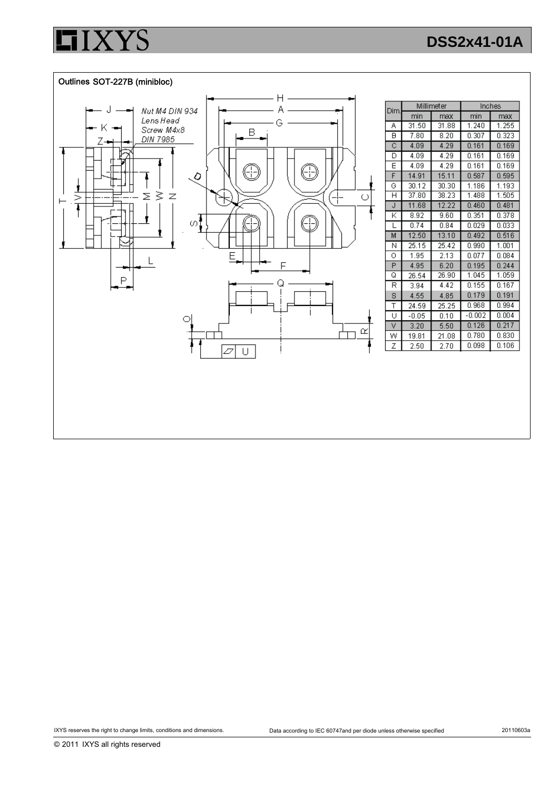



© 2011 IXYS all rights reserved